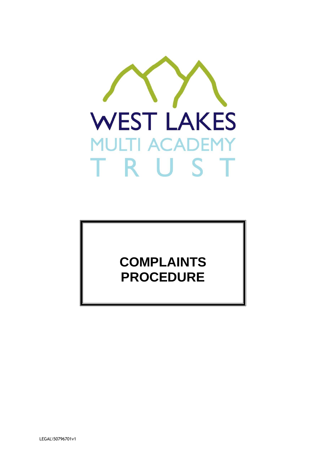

# **COMPLAINTS PROCEDURE**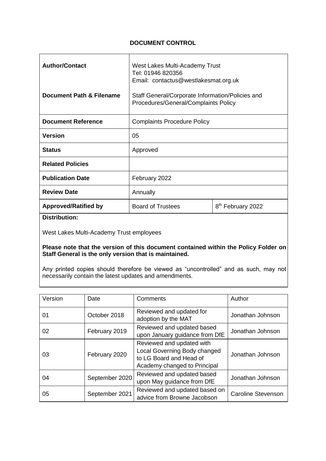## **DOCUMENT CONTROL**

| <b>Author/Contact</b>       | West Lakes Multi-Academy Trust<br>Tel: 01946 820356<br>Email: contactus@westlakesmat.org.uk |                               |
|-----------------------------|---------------------------------------------------------------------------------------------|-------------------------------|
| Document Path & Filename    | Staff General/Corporate Information/Policies and<br>Procedures/General/Complaints Policy    |                               |
| <b>Document Reference</b>   | <b>Complaints Procedure Policy</b>                                                          |                               |
| <b>Version</b>              | 05                                                                                          |                               |
| <b>Status</b>               | Approved                                                                                    |                               |
| <b>Related Policies</b>     |                                                                                             |                               |
| <b>Publication Date</b>     | February 2022                                                                               |                               |
| <b>Review Date</b>          | Annually                                                                                    |                               |
| <b>Approved/Ratified by</b> | <b>Board of Trustees</b>                                                                    | 8 <sup>th</sup> February 2022 |
| <b>Bandari 1995</b>         |                                                                                             |                               |

#### **Distribution:**

West Lakes Multi-Academy Trust employees

#### **Please note that the version of this document contained within the Policy Folder on Staff General is the only version that is maintained.**

Any printed copies should therefore be viewed as "uncontrolled" and as such, may not necessarily contain the latest updates and amendments.

| Version | Date           | Comments                                                                                                             | Author                    |
|---------|----------------|----------------------------------------------------------------------------------------------------------------------|---------------------------|
| 01      | October 2018   | Reviewed and updated for<br>adoption by the MAT                                                                      | Jonathan Johnson          |
| 02      | February 2019  | Reviewed and updated based<br>upon January guidance from DfE                                                         | Jonathan Johnson          |
| 03      | February 2020  | Reviewed and updated with<br>Local Governing Body changed<br>to LG Board and Head of<br>Academy changed to Principal | Jonathan Johnson          |
| 04      | September 2020 | Reviewed and updated based<br>upon May guidance from DfE                                                             | Jonathan Johnson          |
| 05      | September 2021 | Reviewed and updated based on<br>advice from Browne Jacobson                                                         | <b>Caroline Stevenson</b> |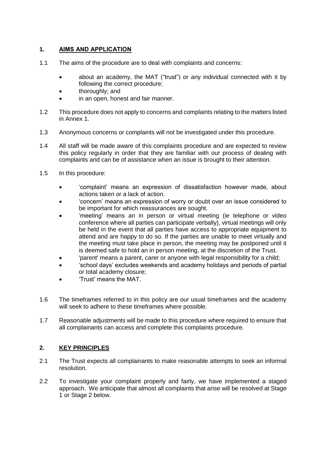## **1. AIMS AND APPLICATION**

- 1.1 The aims of the procedure are to deal with complaints and concerns:
	- about an academy, the MAT ("trust") or any individual connected with it by following the correct procedure;
	- thoroughly; and
	- in an open, honest and fair manner.
- 1.2 This procedure does not apply to concerns and complaints relating to the matters listed in Annex 1.
- 1.3 Anonymous concerns or complaints will not be investigated under this procedure.
- 1.4 All staff will be made aware of this complaints procedure and are expected to review this policy regularly in order that they are familiar with our process of dealing with complaints and can be of assistance when an issue is brought to their attention.
- 1.5 In this procedure:
	- 'complaint' means an expression of dissatisfaction however made, about actions taken or a lack of action.
	- 'concern' means an expression of worry or doubt over an issue considered to be important for which reassurances are sought.
	- 'meeting' means an in person or virtual meeting (ie telephone or video conference where all parties can participate verbally), virtual meetings will only be held in the event that all parties have access to appropriate equipment to attend and are happy to do so. If the parties are unable to meet virtually and the meeting must take place in person, the meeting may be postponed until it is deemed safe to hold an in person meeting, at the discretion of the Trust.
	- 'parent' means a parent, carer or anyone with legal responsibility for a child;
	- 'school days' excludes weekends and academy holidays and periods of partial or total academy closure;
	- 'Trust' means the MAT.
- 1.6 The timeframes referred to in this policy are our usual timeframes and the academy will seek to adhere to these timeframes where possible.
- 1.7 Reasonable adjustments will be made to this procedure where required to ensure that all complainants can access and complete this complaints procedure.

### **2. KEY PRINCIPLES**

- 2.1 The Trust expects all complainants to make reasonable attempts to seek an informal resolution.
- 2.2 To investigate your complaint properly and fairly, we have implemented a staged approach. We anticipate that almost all complaints that arise will be resolved at Stage 1 or Stage 2 below.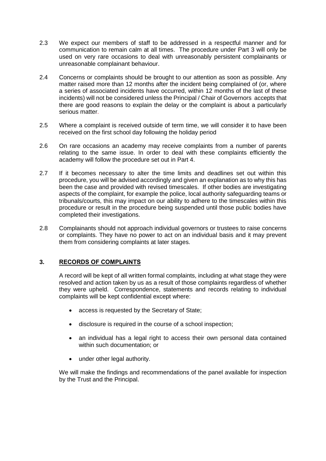- 2.3 We expect our members of staff to be addressed in a respectful manner and for communication to remain calm at all times. The procedure under Part 3 will only be used on very rare occasions to deal with unreasonably persistent complainants or unreasonable complainant behaviour.
- 2.4 Concerns or complaints should be brought to our attention as soon as possible. Any matter raised more than 12 months after the incident being complained of (or, where a series of associated incidents have occurred, within 12 months of the last of these incidents) will not be considered unless the Principal / Chair of Governors accepts that there are good reasons to explain the delay or the complaint is about a particularly serious matter.
- 2.5 Where a complaint is received outside of term time, we will consider it to have been received on the first school day following the holiday period
- 2.6 On rare occasions an academy may receive complaints from a number of parents relating to the same issue. In order to deal with these complaints efficiently the academy will follow the procedure set out in Part 4.
- 2.7 If it becomes necessary to alter the time limits and deadlines set out within this procedure, you will be advised accordingly and given an explanation as to why this has been the case and provided with revised timescales. If other bodies are investigating aspects of the complaint, for example the police, local authority safeguarding teams or tribunals/courts, this may impact on our ability to adhere to the timescales within this procedure or result in the procedure being suspended until those public bodies have completed their investigations.
- 2.8 Complainants should not approach individual governors or trustees to raise concerns or complaints. They have no power to act on an individual basis and it may prevent them from considering complaints at later stages.

## **3. RECORDS OF COMPLAINTS**

A record will be kept of all written formal complaints, including at what stage they were resolved and action taken by us as a result of those complaints regardless of whether they were upheld. Correspondence, statements and records relating to individual complaints will be kept confidential except where:

- access is requested by the Secretary of State;
- disclosure is required in the course of a school inspection;
- an individual has a legal right to access their own personal data contained within such documentation; or
- under other legal authority.

We will make the findings and recommendations of the panel available for inspection by the Trust and the Principal.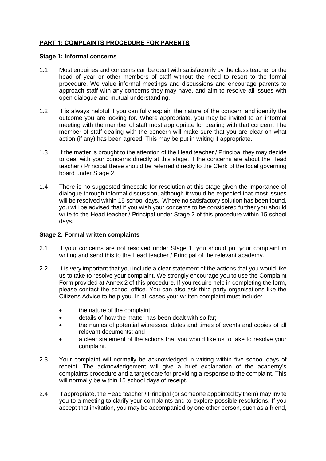## **PART 1: COMPLAINTS PROCEDURE FOR PARENTS**

#### **Stage 1: Informal concerns**

- 1.1 Most enquiries and concerns can be dealt with satisfactorily by the class teacher or the head of year or other members of staff without the need to resort to the formal procedure. We value informal meetings and discussions and encourage parents to approach staff with any concerns they may have, and aim to resolve all issues with open dialogue and mutual understanding.
- 1.2 It is always helpful if you can fully explain the nature of the concern and identify the outcome you are looking for. Where appropriate, you may be invited to an informal meeting with the member of staff most appropriate for dealing with that concern. The member of staff dealing with the concern will make sure that you are clear on what action (if any) has been agreed. This may be put in writing if appropriate.
- 1.3 If the matter is brought to the attention of the Head teacher / Principal they may decide to deal with your concerns directly at this stage. If the concerns are about the Head teacher / Principal these should be referred directly to the Clerk of the local governing board under Stage 2.
- 1.4 There is no suggested timescale for resolution at this stage given the importance of dialogue through informal discussion, although it would be expected that most issues will be resolved within 15 school days. Where no satisfactory solution has been found, you will be advised that if you wish your concerns to be considered further you should write to the Head teacher / Principal under Stage 2 of this procedure within 15 school days.

#### **Stage 2: Formal written complaints**

- 2.1 If your concerns are not resolved under Stage 1, you should put your complaint in writing and send this to the Head teacher / Principal of the relevant academy.
- 2.2 It is very important that you include a clear statement of the actions that you would like us to take to resolve your complaint. We strongly encourage you to use the Complaint Form provided at Annex 2 of this procedure. If you require help in completing the form, please contact the school office. You can also ask third party organisations like the Citizens Advice to help you. In all cases your written complaint must include:
	- the nature of the complaint;
	- details of how the matter has been dealt with so far;
	- the names of potential witnesses, dates and times of events and copies of all relevant documents; and
	- a clear statement of the actions that you would like us to take to resolve your complaint.
- 2.3 Your complaint will normally be acknowledged in writing within five school days of receipt. The acknowledgement will give a brief explanation of the academy's complaints procedure and a target date for providing a response to the complaint. This will normally be within 15 school days of receipt.
- 2.4 If appropriate, the Head teacher / Principal (or someone appointed by them) may invite you to a meeting to clarify your complaints and to explore possible resolutions. If you accept that invitation, you may be accompanied by one other person, such as a friend,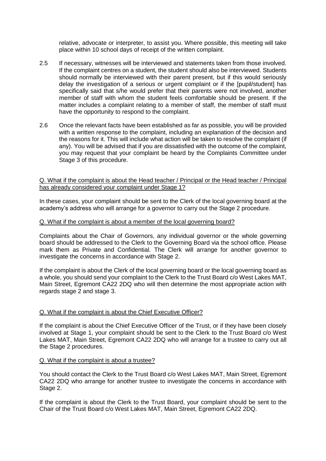relative, advocate or interpreter, to assist you. Where possible, this meeting will take place within 10 school days of receipt of the written complaint.

- 2.5 If necessary, witnesses will be interviewed and statements taken from those involved. If the complaint centres on a student, the student should also be interviewed. Students should normally be interviewed with their parent present, but if this would seriously delay the investigation of a serious or urgent complaint or if the [pupil/student] has specifically said that s/he would prefer that their parents were not involved, another member of staff with whom the student feels comfortable should be present. If the matter includes a complaint relating to a member of staff, the member of staff must have the opportunity to respond to the complaint.
- 2.6 Once the relevant facts have been established as far as possible, you will be provided with a written response to the complaint, including an explanation of the decision and the reasons for it. This will include what action will be taken to resolve the complaint (if any). You will be advised that if you are dissatisfied with the outcome of the complaint, you may request that your complaint be heard by the Complaints Committee under Stage 3 of this procedure.

#### Q. What if the complaint is about the Head teacher / Principal or the Head teacher / Principal has already considered your complaint under Stage 1?

In these cases, your complaint should be sent to the Clerk of the local governing board at the academy's address who will arrange for a governor to carry out the Stage 2 procedure.

#### Q. What if the complaint is about a member of the local governing board?

Complaints about the Chair of Governors, any individual governor or the whole governing board should be addressed to the Clerk to the Governing Board via the school office. Please mark them as Private and Confidential. The Clerk will arrange for another governor to investigate the concerns in accordance with Stage 2.

If the complaint is about the Clerk of the local governing board or the local governing board as a whole, you should send your complaint to the Clerk to the Trust Board c/o West Lakes MAT, Main Street, Egremont CA22 2DQ who will then determine the most appropriate action with regards stage 2 and stage 3.

#### Q. What if the complaint is about the Chief Executive Officer?

If the complaint is about the Chief Executive Officer of the Trust, or if they have been closely involved at Stage 1, your complaint should be sent to the Clerk to the Trust Board c/o West Lakes MAT, Main Street, Egremont CA22 2DQ who will arrange for a trustee to carry out all the Stage 2 procedures.

#### Q. What if the complaint is about a trustee?

You should contact the Clerk to the Trust Board c/o West Lakes MAT, Main Street, Egremont CA22 2DQ who arrange for another trustee to investigate the concerns in accordance with Stage 2.

If the complaint is about the Clerk to the Trust Board, your complaint should be sent to the Chair of the Trust Board c/o West Lakes MAT, Main Street, Egremont CA22 2DQ.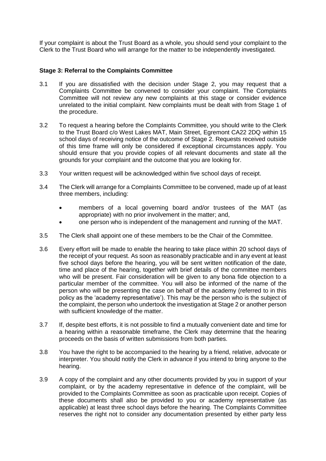If your complaint is about the Trust Board as a whole, you should send your complaint to the Clerk to the Trust Board who will arrange for the matter to be independently investigated.

#### **Stage 3: Referral to the Complaints Committee**

- 3.1 If you are dissatisfied with the decision under Stage 2, you may request that a Complaints Committee be convened to consider your complaint. The Complaints Committee will not review any new complaints at this stage or consider evidence unrelated to the initial complaint. New complaints must be dealt with from Stage 1 of the procedure.
- 3.2 To request a hearing before the Complaints Committee, you should write to the Clerk to the Trust Board c/o West Lakes MAT, Main Street, Egremont CA22 2DQ within 15 school days of receiving notice of the outcome of Stage 2. Requests received outside of this time frame will only be considered if exceptional circumstances apply. You should ensure that you provide copies of all relevant documents and state all the grounds for your complaint and the outcome that you are looking for.
- 3.3 Your written request will be acknowledged within five school days of receipt.
- 3.4 The Clerk will arrange for a Complaints Committee to be convened, made up of at least three members, including:
	- members of a local governing board and/or trustees of the MAT (as appropriate) with no prior involvement in the matter; and,
	- one person who is independent of the management and running of the MAT.
- 3.5 The Clerk shall appoint one of these members to be the Chair of the Committee.
- 3.6 Every effort will be made to enable the hearing to take place within 20 school days of the receipt of your request. As soon as reasonably practicable and in any event at least five school days before the hearing, you will be sent written notification of the date, time and place of the hearing, together with brief details of the committee members who will be present. Fair consideration will be given to any bona fide objection to a particular member of the committee. You will also be informed of the name of the person who will be presenting the case on behalf of the academy (referred to in this policy as the 'academy representative'). This may be the person who is the subject of the complaint, the person who undertook the investigation at Stage 2 or another person with sufficient knowledge of the matter.
- 3.7 If, despite best efforts, it is not possible to find a mutually convenient date and time for a hearing within a reasonable timeframe, the Clerk may determine that the hearing proceeds on the basis of written submissions from both parties.
- 3.8 You have the right to be accompanied to the hearing by a friend, relative, advocate or interpreter. You should notify the Clerk in advance if you intend to bring anyone to the hearing.
- 3.9 A copy of the complaint and any other documents provided by you in support of your complaint, or by the academy representative in defence of the complaint, will be provided to the Complaints Committee as soon as practicable upon receipt. Copies of these documents shall also be provided to you or academy representative (as applicable) at least three school days before the hearing. The Complaints Committee reserves the right not to consider any documentation presented by either party less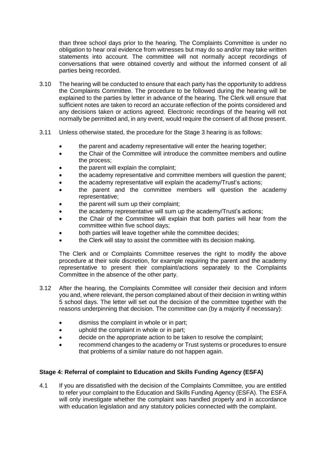than three school days prior to the hearing. The Complaints Committee is under no obligation to hear oral evidence from witnesses but may do so and/or may take written statements into account. The committee will not normally accept recordings of conversations that were obtained covertly and without the informed consent of all parties being recorded.

- 3.10 The hearing will be conducted to ensure that each party has the opportunity to address the Complaints Committee. The procedure to be followed during the hearing will be explained to the parties by letter in advance of the hearing. The Clerk will ensure that sufficient notes are taken to record an accurate reflection of the points considered and any decisions taken or actions agreed. Electronic recordings of the hearing will not normally be permitted and, in any event, would require the consent of all those present.
- 3.11 Unless otherwise stated, the procedure for the Stage 3 hearing is as follows:
	- the parent and academy representative will enter the hearing together;
	- the Chair of the Committee will introduce the committee members and outline the process;
	- the parent will explain the complaint;
	- the academy representative and committee members will question the parent;
	- the academy representative will explain the academy/Trust's actions;
	- the parent and the committee members will question the academy representative;
	- the parent will sum up their complaint;
	- the academy representative will sum up the academy/Trust's actions;
	- the Chair of the Committee will explain that both parties will hear from the committee within five school days;
	- both parties will leave together while the committee decides;
	- the Clerk will stay to assist the committee with its decision making.

The Clerk and or Complaints Committee reserves the right to modify the above procedure at their sole discretion, for example requiring the parent and the academy representative to present their complaint/actions separately to the Complaints Committee in the absence of the other party.

- 3.12 After the hearing, the Complaints Committee will consider their decision and inform you and, where relevant, the person complained about of their decision in writing within 5 school days. The letter will set out the decision of the committee together with the reasons underpinning that decision. The committee can (by a majority if necessary):
	- dismiss the complaint in whole or in part;
	- uphold the complaint in whole or in part;
	- decide on the appropriate action to be taken to resolve the complaint;
	- recommend changes to the academy or Trust systems or procedures to ensure that problems of a similar nature do not happen again.

## **Stage 4: Referral of complaint to Education and Skills Funding Agency (ESFA)**

4.1 If you are dissatisfied with the decision of the Complaints Committee, you are entitled to refer your complaint to the Education and Skills Funding Agency (ESFA). The ESFA will only investigate whether the complaint was handled properly and in accordance with education legislation and any statutory policies connected with the complaint.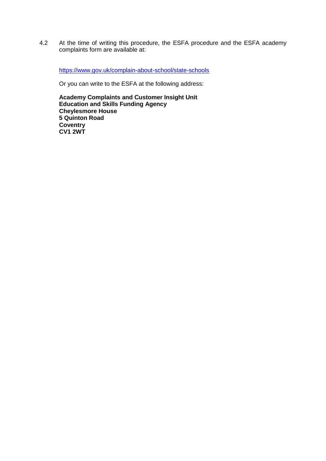4.2 At the time of writing this procedure, the ESFA procedure and the ESFA academy complaints form are available at:

<https://www.gov.uk/complain-about-school/state-schools>

Or you can write to the ESFA at the following address:

**Academy Complaints and Customer Insight Unit Education and Skills Funding Agency Cheylesmore House 5 Quinton Road Coventry CV1 2WT**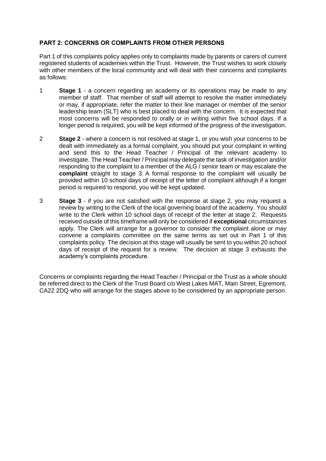## **PART 2: CONCERNS OR COMPLAINTS FROM OTHER PERSONS**

Part 1 of this complaints policy applies only to complaints made by parents or carers of current registered students of academies within the Trust. However, the Trust wishes to work closely with other members of the local community and will deal with their concerns and complaints as follows:

- 1 **Stage 1** a concern regarding an academy or its operations may be made to any member of staff. That member of staff will attempt to resolve the matter immediately or may, if appropriate, refer the matter to their line manager or member of the senior leadership team (SLT) who is best placed to deal with the concern. It is expected that most concerns will be responded to orally or in writing within five school days. If a longer period is required, you will be kept informed of the progress of the investigation.
- 2 **Stage 2** where a concern is not resolved at stage 1, or you wish your concerns to be dealt with immediately as a formal complaint, you should put your complaint in writing and send this to the Head Teacher / Principal of the relevant academy to investigate. The Head Teacher / Principal may delegate the task of investigation and/or responding to the complaint to a member of the ALG / senior team or may escalate the **complaint** straight to stage 3. A formal response to the complaint will usually be provided within 10 school days of receipt of the letter of complaint although if a longer period is required to respond, you will be kept updated.
- 3 **Stage 3** if you are not satisfied with the response at stage 2, you may request a review by writing to the Clerk of the local governing board of the academy. You should write to the Clerk within 10 school days of receipt of the letter at stage 2. Requests received outside of this timeframe will only be considered if **exceptional** circumstances apply. The Clerk will arrange for a governor to consider the complaint alone or may convene a complaints committee on the same terms as set out in Part 1 of this complaints policy. The decision at this stage will usually be sent to you within 20 school days of receipt of the request for a review. The decision at stage 3 exhausts the academy's complaints procedure.

Concerns or complaints regarding the Head Teacher / Principal or the Trust as a whole should be referred direct to the Clerk of the Trust Board c/o West Lakes MAT, Main Street, Egremont, CA22 2DQ who will arrange for the stages above to be considered by an appropriate person.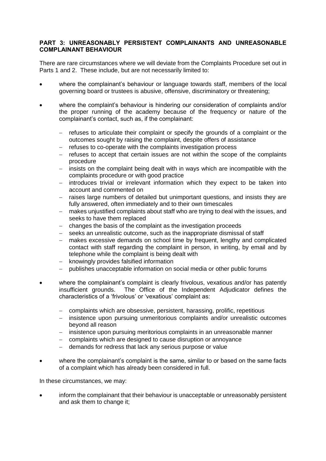#### **PART 3: UNREASONABLY PERSISTENT COMPLAINANTS AND UNREASONABLE COMPLAINANT BEHAVIOUR**

There are rare circumstances where we will deviate from the Complaints Procedure set out in Parts 1 and 2. These include, but are not necessarily limited to:

- where the complainant's behaviour or language towards staff, members of the local governing board or trustees is abusive, offensive, discriminatory or threatening;
- where the complaint's behaviour is hindering our consideration of complaints and/or the proper running of the academy because of the frequency or nature of the complainant's contact, such as, if the complainant:
	- refuses to articulate their complaint or specify the grounds of a complaint or the outcomes sought by raising the complaint, despite offers of assistance
	- refuses to co-operate with the complaints investigation process
	- $-$  refuses to accept that certain issues are not within the scope of the complaints procedure
	- $-$  insists on the complaint being dealt with in ways which are incompatible with the complaints procedure or with good practice
	- $-$  introduces trivial or irrelevant information which they expect to be taken into account and commented on
	- raises large numbers of detailed but unimportant questions, and insists they are fully answered, often immediately and to their own timescales
	- makes unjustified complaints about staff who are trying to deal with the issues, and seeks to have them replaced
	- changes the basis of the complaint as the investigation proceeds
	- seeks an unrealistic outcome, such as the inappropriate dismissal of staff
	- makes excessive demands on school time by frequent, lengthy and complicated contact with staff regarding the complaint in person, in writing, by email and by telephone while the complaint is being dealt with
	- knowingly provides falsified information
	- publishes unacceptable information on social media or other public forums
- where the complainant's complaint is clearly frivolous, vexatious and/or has patently insufficient grounds. The Office of the Independent Adjudicator defines the characteristics of a 'frivolous' or 'vexatious' complaint as:
	- complaints which are obsessive, persistent, harassing, prolific, repetitious
	- insistence upon pursuing unmeritorious complaints and/or unrealistic outcomes beyond all reason
	- insistence upon pursuing meritorious complaints in an unreasonable manner
	- complaints which are designed to cause disruption or annoyance
	- demands for redress that lack any serious purpose or value
- where the complainant's complaint is the same, similar to or based on the same facts of a complaint which has already been considered in full.

In these circumstances, we may:

 inform the complainant that their behaviour is unacceptable or unreasonably persistent and ask them to change it;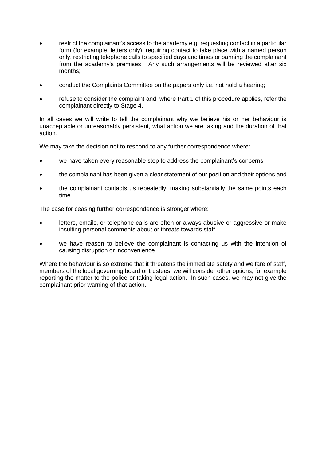- restrict the complainant's access to the academy e.g. requesting contact in a particular form (for example, letters only), requiring contact to take place with a named person only, restricting telephone calls to specified days and times or banning the complainant from the academy's premises. Any such arrangements will be reviewed after six months;
- conduct the Complaints Committee on the papers only i.e. not hold a hearing;
- refuse to consider the complaint and, where Part 1 of this procedure applies, refer the complainant directly to Stage 4.

In all cases we will write to tell the complainant why we believe his or her behaviour is unacceptable or unreasonably persistent, what action we are taking and the duration of that action.

We may take the decision not to respond to any further correspondence where:

- we have taken every reasonable step to address the complainant's concerns
- the complainant has been given a clear statement of our position and their options and
- the complainant contacts us repeatedly, making substantially the same points each time

The case for ceasing further correspondence is stronger where:

- letters, emails, or telephone calls are often or always abusive or aggressive or make insulting personal comments about or threats towards staff
- we have reason to believe the complainant is contacting us with the intention of causing disruption or inconvenience

Where the behaviour is so extreme that it threatens the immediate safety and welfare of staff, members of the local governing board or trustees, we will consider other options, for example reporting the matter to the police or taking legal action. In such cases, we may not give the complainant prior warning of that action.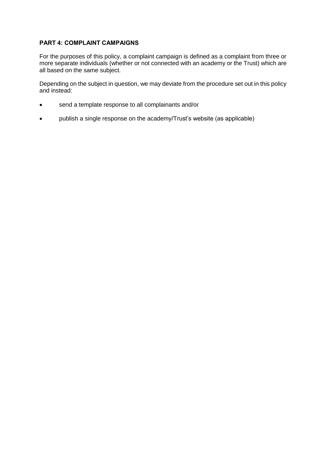## **PART 4: COMPLAINT CAMPAIGNS**

For the purposes of this policy, a complaint campaign is defined as a complaint from three or more separate individuals (whether or not connected with an academy or the Trust) which are all based on the same subject.

Depending on the subject in question, we may deviate from the procedure set out in this policy and instead:

- send a template response to all complainants and/or
- publish a single response on the academy/Trust's website (as applicable)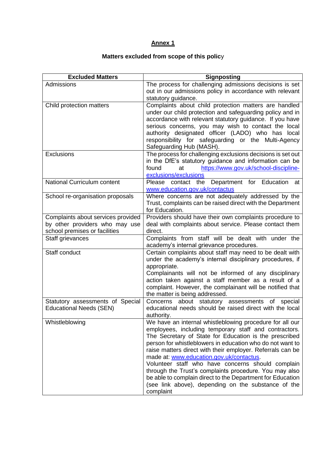# **Annex 1**

# **Matters excluded from scope of this polic**y

| <b>Excluded Matters</b>            | <b>Signposting</b>                                                                                                      |
|------------------------------------|-------------------------------------------------------------------------------------------------------------------------|
| Admissions                         | The process for challenging admissions decisions is set                                                                 |
|                                    | out in our admissions policy in accordance with relevant                                                                |
|                                    | statutory guidance.                                                                                                     |
| Child protection matters           | Complaints about child protection matters are handled                                                                   |
|                                    | under our child protection and safeguarding policy and in                                                               |
|                                    | accordance with relevant statutory guidance. If you have                                                                |
|                                    | serious concerns, you may wish to contact the local                                                                     |
|                                    | authority designated officer (LADO) who has local                                                                       |
|                                    | responsibility for safeguarding or the Multi-Agency                                                                     |
|                                    | Safeguarding Hub (MASH).                                                                                                |
| <b>Exclusions</b>                  | The process for challenging exclusions decisions is set out                                                             |
|                                    | in the DfE's statutory guidance and information can be                                                                  |
|                                    | https://www.gov.uk/school-discipline-<br>found<br>at                                                                    |
| <b>National Curriculum content</b> | exclusions/exclusions                                                                                                   |
|                                    | Please contact the Department for Education<br>at<br>www.education.gov.uk/contactus                                     |
| School re-organisation proposals   | Where concerns are not adequately addressed by the                                                                      |
|                                    | Trust, complaints can be raised direct with the Department                                                              |
|                                    | for Education.                                                                                                          |
| Complaints about services provided | Providers should have their own complaints procedure to                                                                 |
| by other providers who may use     | deal with complaints about service. Please contact them                                                                 |
| school premises or facilities      | direct.                                                                                                                 |
| Staff grievances                   | Complaints from staff will be dealt with under the                                                                      |
|                                    | academy's internal grievance procedures.                                                                                |
| Staff conduct                      | Certain complaints about staff may need to be dealt with                                                                |
|                                    | under the academy's internal disciplinary procedures, if                                                                |
|                                    | appropriate.                                                                                                            |
|                                    | Complainants will not be informed of any disciplinary                                                                   |
|                                    | action taken against a staff member as a result of a                                                                    |
|                                    | complaint. However, the complainant will be notified that                                                               |
|                                    | the matter is being addressed.                                                                                          |
| Statutory assessments of Special   | Concerns about statutory assessments of special                                                                         |
| <b>Educational Needs (SEN)</b>     | educational needs should be raised direct with the local                                                                |
|                                    | authority.                                                                                                              |
| Whistleblowing                     | We have an internal whistleblowing procedure for all our                                                                |
|                                    | employees, including temporary staff and contractors.                                                                   |
|                                    | The Secretary of State for Education is the prescribed                                                                  |
|                                    | person for whistleblowers in education who do not want to<br>raise matters direct with their employer. Referrals can be |
|                                    | made at: www.education.gov.uk/contactus.                                                                                |
|                                    | Volunteer staff who have concerns should complain                                                                       |
|                                    | through the Trust's complaints procedure. You may also                                                                  |
|                                    | be able to complain direct to the Department for Education                                                              |
|                                    | (see link above), depending on the substance of the                                                                     |
|                                    | complaint                                                                                                               |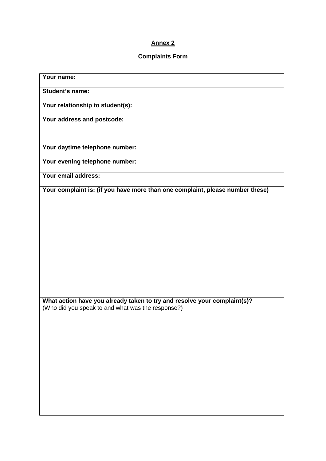# **Annex 2**

## **Complaints Form**

| Your name:                                                                    |
|-------------------------------------------------------------------------------|
| <b>Student's name:</b>                                                        |
| Your relationship to student(s):                                              |
| Your address and postcode:                                                    |
| Your daytime telephone number:                                                |
| Your evening telephone number:                                                |
| Your email address:                                                           |
| Your complaint is: (if you have more than one complaint, please number these) |
|                                                                               |
|                                                                               |
|                                                                               |
|                                                                               |
|                                                                               |
|                                                                               |
| What action have you already taken to try and resolve your complaint(s)?      |
| (Who did you speak to and what was the response?)                             |
|                                                                               |
|                                                                               |
|                                                                               |
|                                                                               |
|                                                                               |
|                                                                               |
|                                                                               |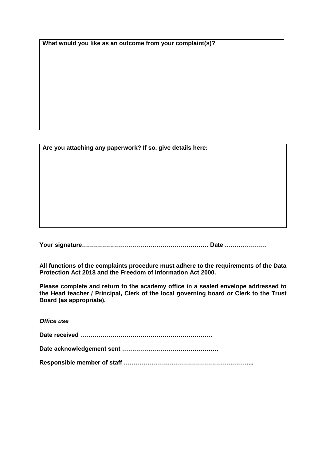**What would you like as an outcome from your complaint(s)?**

**Are you attaching any paperwork? If so, give details here:**

**Your signature……………………………………………………… Date …………………**

**All functions of the complaints procedure must adhere to the requirements of the Data Protection Act 2018 and the Freedom of Information Act 2000.**

**Please complete and return to the academy office in a sealed envelope addressed to the Head teacher / Principal, Clerk of the local governing board or Clerk to the Trust Board (as appropriate).**

*Office use* **Date received ………………………………………………………… Date acknowledgement sent ………………………………………… Responsible member of staff ………………………………………………………..**